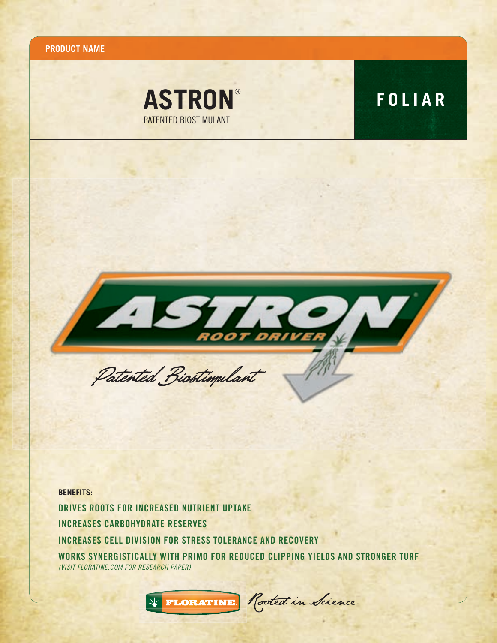**PRODUCT NAME**





**BENEFITS:** DRIVES ROOTS FOR INCREASED NUTRIENT UPTAKE INCREASES CARBOHYDRATE RESERVES INCREASES CELL DIVISION FOR STRESS TOLERANCE AND RECOVERY WORKS SYNERGISTICALLY WITH PRIMO FOR REDUCED CLIPPING YIELDS AND STRONGER TURF *(VISIT FLORATINE.COM FOR RESEARCH PAPER)*